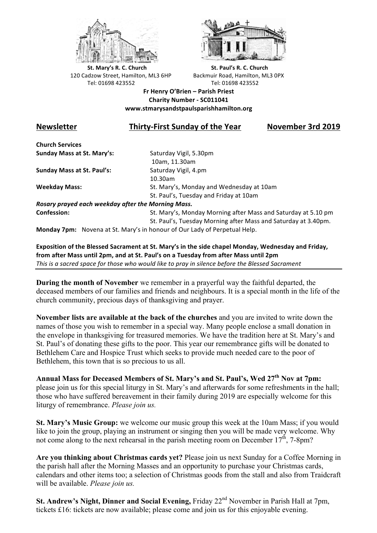



**St.** Mary's R. C. Church St. Paul's R. C. Church 120 Cadzow Street, Hamilton, ML3 6HP Backmuir Road, Hamilton, ML3 0PX Tel: 01698 423552 Tel: 01698 423552

**Fr Henry O'Brien – Parish Priest Charity Number - SC011041 www.stmarysandstpaulsparishhamilton.org**

## **Newsletter Thirty-First Sunday of the Year November 3rd 2019**

**Church Services Sunday Mass at St. Mary's:** Saturday Vigil, 5.30pm

**Sunday Mass at St. Paul's:** Saturday Vigil, 4.pm

 10am, 11.30am 10.30am **Weekday Mass:** St. Mary's, Monday and Wednesday at 10am St. Paul's, Tuesday and Friday at 10am

*Rosary prayed each weekday after the Morning Mass.* **Confession:** St. Mary's, Monday Morning after Mass and Saturday at 5.10 pm

St. Paul's, Tuesday Morning after Mass and Saturday at 3.40pm.

**Monday 7pm:** Novena at St. Mary's in honour of Our Lady of Perpetual Help.

**Exposition of the Blessed Sacrament at St. Mary's in the side chapel Monday, Wednesday and Friday,** from after Mass until 2pm, and at St. Paul's on a Tuesday from after Mass until 2pm *This* is a sacred space for those who would like to pray in silence before the Blessed Sacrament

**During the month of November** we remember in a prayerful way the faithful departed, the deceased members of our families and friends and neighbours. It is a special month in the life of the church community, precious days of thanksgiving and prayer.

**November lists are available at the back of the churches** and you are invited to write down the names of those you wish to remember in a special way. Many people enclose a small donation in the envelope in thanksgiving for treasured memories. We have the tradition here at St. Mary's and St. Paul's of donating these gifts to the poor. This year our remembrance gifts will be donated to Bethlehem Care and Hospice Trust which seeks to provide much needed care to the poor of Bethlehem, this town that is so precious to us all.

**Annual Mass for Deceased Members of St. Mary's and St. Paul's, Wed 27th Nov at 7pm:** please join us for this special liturgy in St. Mary's and afterwards for some refreshments in the hall; those who have suffered bereavement in their family during 2019 are especially welcome for this liturgy of remembrance. *Please join us.*

**St. Mary's Music Group:** we welcome our music group this week at the 10am Mass; if you would like to join the group, playing an instrument or singing then you will be made very welcome. Why not come along to the next rehearsal in the parish meeting room on December  $17<sup>th</sup>$ , 7-8pm?

**Are you thinking about Christmas cards yet?** Please join us next Sunday for a Coffee Morning in the parish hall after the Morning Masses and an opportunity to purchase your Christmas cards, calendars and other items too; a selection of Christmas goods from the stall and also from Traidcraft will be available. *Please join us.*

**St. Andrew's Night, Dinner and Social Evening, Friday 22<sup>nd</sup> November in Parish Hall at 7pm,** tickets £16: tickets are now available; please come and join us for this enjoyable evening.